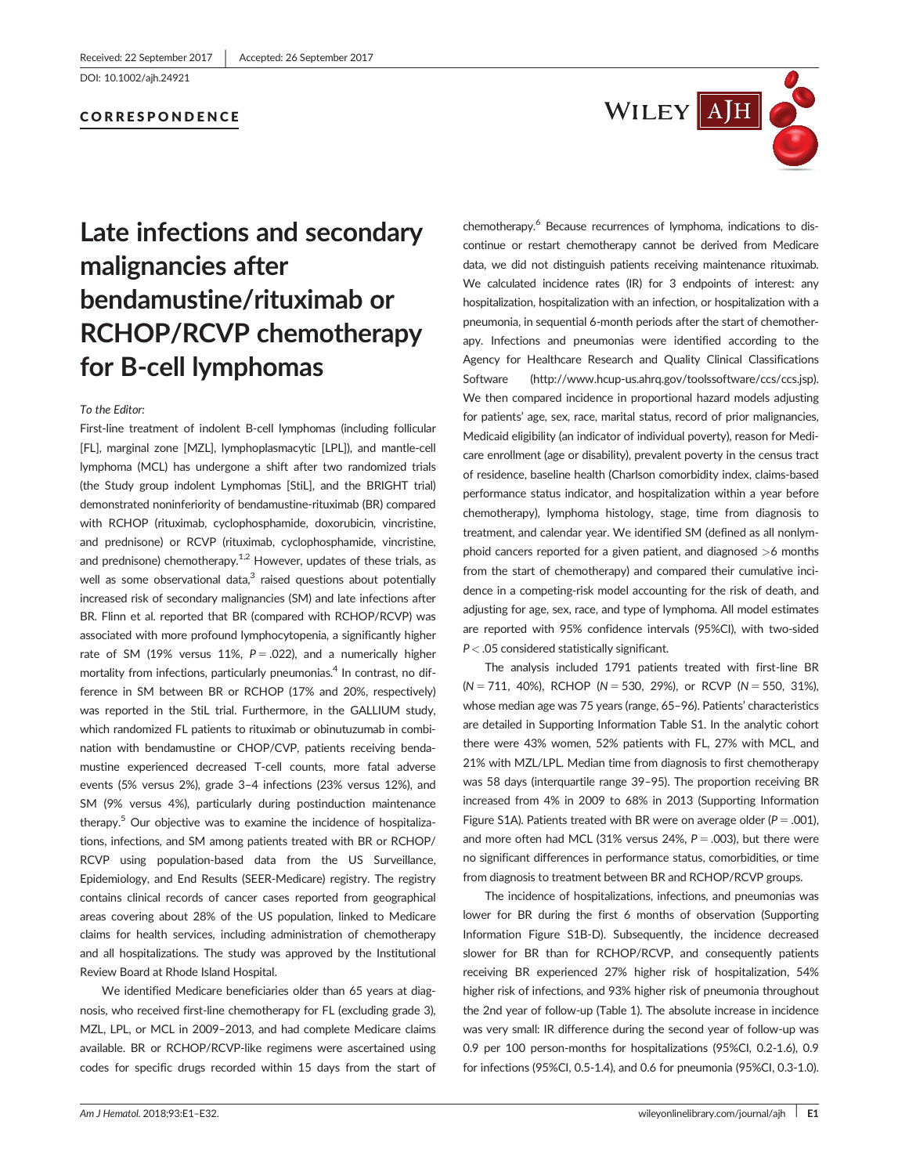DOI: 10.1002/ajh.24921

## CORRESPONDENCE



# Late infections and secondary malignancies after bendamustine/rituximab or RCHOP/RCVP chemotherapy for B-cell lymphomas

To the Editor:

First-line treatment of indolent B-cell lymphomas (including follicular [FL], marginal zone [MZL], lymphoplasmacytic [LPL]), and mantle-cell lymphoma (MCL) has undergone a shift after two randomized trials (the Study group indolent Lymphomas [StiL], and the BRIGHT trial) demonstrated noninferiority of bendamustine-rituximab (BR) compared with RCHOP (rituximab, cyclophosphamide, doxorubicin, vincristine, and prednisone) or RCVP (rituximab, cyclophosphamide, vincristine, and prednisone) chemotherapy. $1,2$  However, updates of these trials, as well as some observational data, $3$  raised questions about potentially increased risk of secondary malignancies (SM) and late infections after BR. Flinn et al. reported that BR (compared with RCHOP/RCVP) was associated with more profound lymphocytopenia, a significantly higher rate of SM (19% versus 11%,  $P = .022$ ), and a numerically higher mortality from infections, particularly pneumonias.<sup>4</sup> In contrast, no difference in SM between BR or RCHOP (17% and 20%, respectively) was reported in the StiL trial. Furthermore, in the GALLIUM study, which randomized FL patients to rituximab or obinutuzumab in combination with bendamustine or CHOP/CVP, patients receiving bendamustine experienced decreased T-cell counts, more fatal adverse events (5% versus 2%), grade 3–4 infections (23% versus 12%), and SM (9% versus 4%), particularly during postinduction maintenance therapy.<sup>5</sup> Our objective was to examine the incidence of hospitalizations, infections, and SM among patients treated with BR or RCHOP/ RCVP using population-based data from the US Surveillance, Epidemiology, and End Results (SEER-Medicare) registry. The registry contains clinical records of cancer cases reported from geographical areas covering about 28% of the US population, linked to Medicare claims for health services, including administration of chemotherapy and all hospitalizations. The study was approved by the Institutional Review Board at Rhode Island Hospital.

We identified Medicare beneficiaries older than 65 years at diagnosis, who received first-line chemotherapy for FL (excluding grade 3), MZL, LPL, or MCL in 2009–2013, and had complete Medicare claims available. BR or RCHOP/RCVP-like regimens were ascertained using codes for specific drugs recorded within 15 days from the start of

chemotherapy.<sup>6</sup> Because recurrences of lymphoma, indications to discontinue or restart chemotherapy cannot be derived from Medicare data, we did not distinguish patients receiving maintenance rituximab. We calculated incidence rates (IR) for 3 endpoints of interest: any hospitalization, hospitalization with an infection, or hospitalization with a pneumonia, in sequential 6-month periods after the start of chemotherapy. Infections and pneumonias were identified according to the Agency for Healthcare Research and Quality Clinical Classifications Software ([http://www.hcup-us.ahrq.gov/toolssoftware/ccs/ccs.jsp\)](http://www.hcup-us.ahrq.gov/toolssoftware/ccs/ccs.jsp). We then compared incidence in proportional hazard models adjusting for patients' age, sex, race, marital status, record of prior malignancies, Medicaid eligibility (an indicator of individual poverty), reason for Medicare enrollment (age or disability), prevalent poverty in the census tract of residence, baseline health (Charlson comorbidity index, claims-based performance status indicator, and hospitalization within a year before chemotherapy), lymphoma histology, stage, time from diagnosis to treatment, and calendar year. We identified SM (defined as all nonlymphoid cancers reported for a given patient, and diagnosed >6 months from the start of chemotherapy) and compared their cumulative incidence in a competing-risk model accounting for the risk of death, and adjusting for age, sex, race, and type of lymphoma. All model estimates are reported with 95% confidence intervals (95%CI), with two-sided P < .05 considered statistically significant.

The analysis included 1791 patients treated with first-line BR  $(N = 711, 40\%)$ , RCHOP (N = 530, 29%), or RCVP (N = 550, 31%), whose median age was 75 years (range, 65–96). Patients' characteristics are detailed in Supporting Information Table S1. In the analytic cohort there were 43% women, 52% patients with FL, 27% with MCL, and 21% with MZL/LPL. Median time from diagnosis to first chemotherapy was 58 days (interquartile range 39–95). The proportion receiving BR increased from 4% in 2009 to 68% in 2013 (Supporting Information Figure S1A). Patients treated with BR were on average older ( $P = .001$ ), and more often had MCL (31% versus 24%,  $P = .003$ ), but there were no significant differences in performance status, comorbidities, or time from diagnosis to treatment between BR and RCHOP/RCVP groups.

The incidence of hospitalizations, infections, and pneumonias was lower for BR during the first 6 months of observation (Supporting Information Figure S1B-D). Subsequently, the incidence decreased slower for BR than for RCHOP/RCVP, and consequently patients receiving BR experienced 27% higher risk of hospitalization, 54% higher risk of infections, and 93% higher risk of pneumonia throughout the 2nd year of follow-up (Table 1). The absolute increase in incidence was very small: IR difference during the second year of follow-up was 0.9 per 100 person-months for hospitalizations (95%CI, 0.2-1.6), 0.9 for infections (95%CI, 0.5-1.4), and 0.6 for pneumonia (95%CI, 0.3-1.0).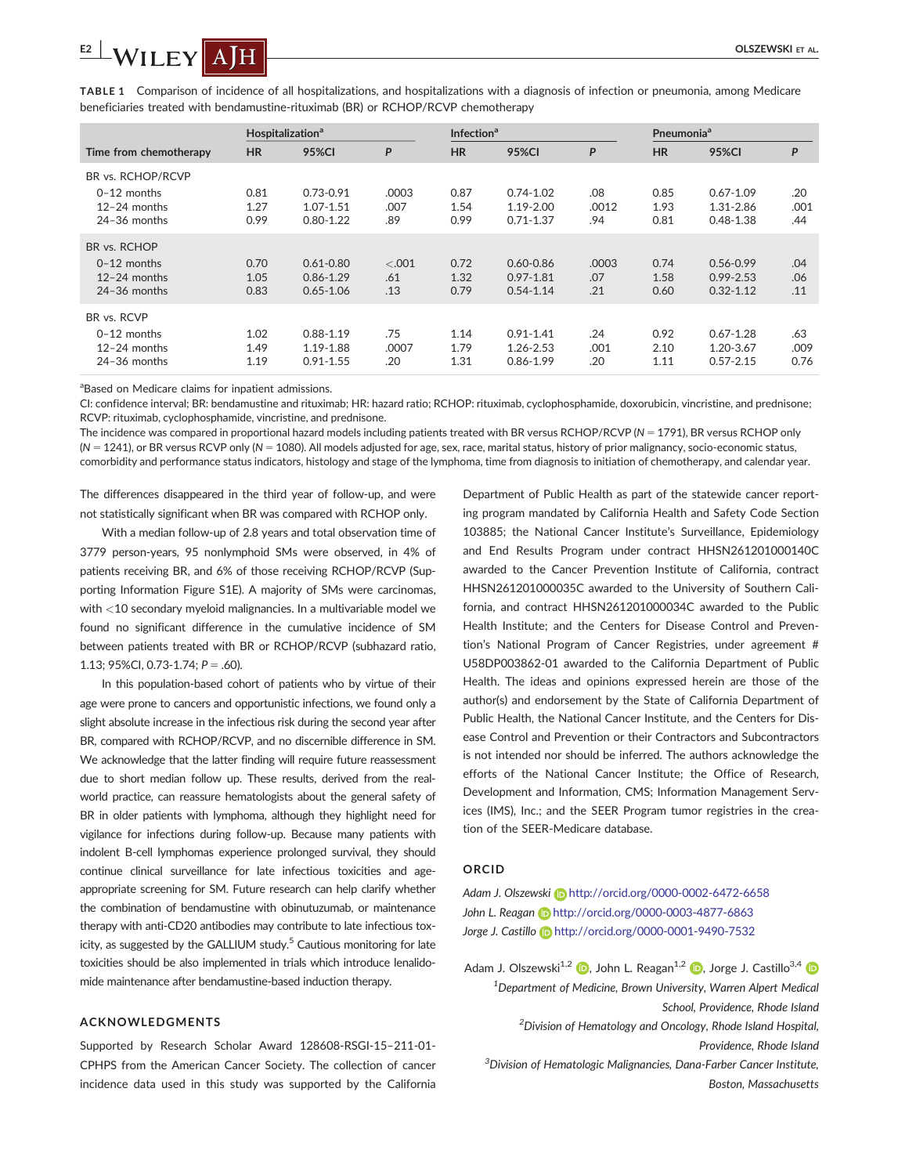TABLE 1 Comparison of incidence of all hospitalizations, and hospitalizations with a diagnosis of infection or pneumonia, among Medicare beneficiaries treated with bendamustine-rituximab (BR) or RCHOP/RCVP chemotherapy

|                                                                      | Hospitalization <sup>a</sup> |                                                 |                       | <b>Infection</b> <sup>a</sup> |                                                 |                     | <b>Pneumonia</b> <sup>a</sup> |                                                 |                     |
|----------------------------------------------------------------------|------------------------------|-------------------------------------------------|-----------------------|-------------------------------|-------------------------------------------------|---------------------|-------------------------------|-------------------------------------------------|---------------------|
| Time from chemotherapy                                               | <b>HR</b>                    | <b>95%CI</b>                                    | P                     | <b>HR</b>                     | 95%CI                                           | P                   | <b>HR</b>                     | <b>95%CI</b>                                    | P                   |
| BR vs. RCHOP/RCVP<br>$0-12$ months<br>12-24 months<br>$24-36$ months | 0.81<br>1.27<br>0.99         | $0.73 - 0.91$<br>1.07-1.51<br>$0.80 - 1.22$     | .0003<br>.007<br>.89  | 0.87<br>1.54<br>0.99          | $0.74 - 1.02$<br>$1.19 - 2.00$<br>$0.71 - 1.37$ | .08<br>.0012<br>.94 | 0.85<br>1.93<br>0.81          | $0.67 - 1.09$<br>1.31-2.86<br>$0.48 - 1.38$     | .20<br>.001<br>.44  |
| BR vs. RCHOP<br>$0-12$ months<br>$12-24$ months<br>$24-36$ months    | 0.70<br>1.05<br>0.83         | $0.61 - 0.80$<br>$0.86 - 1.29$<br>$0.65 - 1.06$ | $-.001$<br>.61<br>.13 | 0.72<br>1.32<br>0.79          | $0.60 - 0.86$<br>$0.97 - 1.81$<br>$0.54 - 1.14$ | .0003<br>.07<br>.21 | 0.74<br>1.58<br>0.60          | $0.56 - 0.99$<br>$0.99 - 2.53$<br>$0.32 - 1.12$ | .04<br>.06<br>.11   |
| BR vs. RCVP<br>$0-12$ months<br>$12-24$ months<br>$24-36$ months     | 1.02<br>1.49<br>1.19         | $0.88 - 1.19$<br>1.19-1.88<br>$0.91 - 1.55$     | .75<br>.0007<br>.20   | 1.14<br>1.79<br>1.31          | $0.91 - 1.41$<br>1.26-2.53<br>$0.86 - 1.99$     | .24<br>.001<br>.20  | 0.92<br>2.10<br>1.11          | $0.67 - 1.28$<br>1.20-3.67<br>$0.57 - 2.15$     | .63<br>.009<br>0.76 |

<sup>a</sup>Based on Medicare claims for inpatient admissions.

CI: confidence interval; BR: bendamustine and rituximab; HR: hazard ratio; RCHOP: rituximab, cyclophosphamide, doxorubicin, vincristine, and prednisone; RCVP: rituximab, cyclophosphamide, vincristine, and prednisone.

The incidence was compared in proportional hazard models including patients treated with BR versus RCHOP/RCVP (N = 1791), BR versus RCHOP only  $(N = 1241)$ , or BR versus RCVP only  $(N = 1080)$ . All models adjusted for age, sex, race, marital status, history of prior malignancy, socio-economic status, comorbidity and performance status indicators, histology and stage of the lymphoma, time from diagnosis to initiation of chemotherapy, and calendar year.

The differences disappeared in the third year of follow-up, and were not statistically significant when BR was compared with RCHOP only.

With a median follow-up of 2.8 years and total observation time of 3779 person-years, 95 nonlymphoid SMs were observed, in 4% of patients receiving BR, and 6% of those receiving RCHOP/RCVP (Supporting Information Figure S1E). A majority of SMs were carcinomas, with <10 secondary myeloid malignancies. In a multivariable model we found no significant difference in the cumulative incidence of SM between patients treated with BR or RCHOP/RCVP (subhazard ratio, 1.13; 95%CI, 0.73-1.74;  $P = .60$ ).

In this population-based cohort of patients who by virtue of their age were prone to cancers and opportunistic infections, we found only a slight absolute increase in the infectious risk during the second year after BR, compared with RCHOP/RCVP, and no discernible difference in SM. We acknowledge that the latter finding will require future reassessment due to short median follow up. These results, derived from the realworld practice, can reassure hematologists about the general safety of BR in older patients with lymphoma, although they highlight need for vigilance for infections during follow-up. Because many patients with indolent B-cell lymphomas experience prolonged survival, they should continue clinical surveillance for late infectious toxicities and ageappropriate screening for SM. Future research can help clarify whether the combination of bendamustine with obinutuzumab, or maintenance therapy with anti-CD20 antibodies may contribute to late infectious toxicity, as suggested by the GALLIUM study.<sup>5</sup> Cautious monitoring for late toxicities should be also implemented in trials which introduce lenalidomide maintenance after bendamustine-based induction therapy.

## ACKNOWLEDGMENTS

Supported by Research Scholar Award 128608-RSGI-15–211-01- CPHPS from the American Cancer Society. The collection of cancer incidence data used in this study was supported by the California

Department of Public Health as part of the statewide cancer reporting program mandated by California Health and Safety Code Section 103885; the National Cancer Institute's Surveillance, Epidemiology and End Results Program under contract HHSN261201000140C awarded to the Cancer Prevention Institute of California, contract HHSN261201000035C awarded to the University of Southern California, and contract HHSN261201000034C awarded to the Public Health Institute; and the Centers for Disease Control and Prevention's National Program of Cancer Registries, under agreement # U58DP003862-01 awarded to the California Department of Public Health. The ideas and opinions expressed herein are those of the author(s) and endorsement by the State of California Department of Public Health, the National Cancer Institute, and the Centers for Disease Control and Prevention or their Contractors and Subcontractors is not intended nor should be inferred. The authors acknowledge the efforts of the National Cancer Institute; the Office of Research, Development and Information, CMS; Information Management Services (IMS), Inc.; and the SEER Program tumor registries in the creation of the SEER-Medicare database.

## ORCID

Adam J. Olszewski **<http://orcid.org/0000-0002-6472-6658>** John L. Reagan **b** <http://orcid.org/0000-0003-4877-6863> Jorge J. Castillo **D** <http://orcid.org/0000-0001-9490-7532>

Adam J. Olszewski<sup>1[,](http://orcid.org/0000-0002-6472-6658)2</sup>  $\bullet$ , John L. Reagan<sup>1,2</sup>  $\bullet$ , Jorge J. Castillo<sup>3,4</sup>  $\bullet$ <sup>1</sup>Department of Medicine, Brown University, Warren Alpert Medical School, Providence, Rhode Island  $^{2}$ Division of Hematology and Oncology, Rhode Island Hospital, Providence, Rhode Island <sup>3</sup> Division of Hematologic Malignancies, Dana-Farber Cancer Institute, Boston, Massachusetts